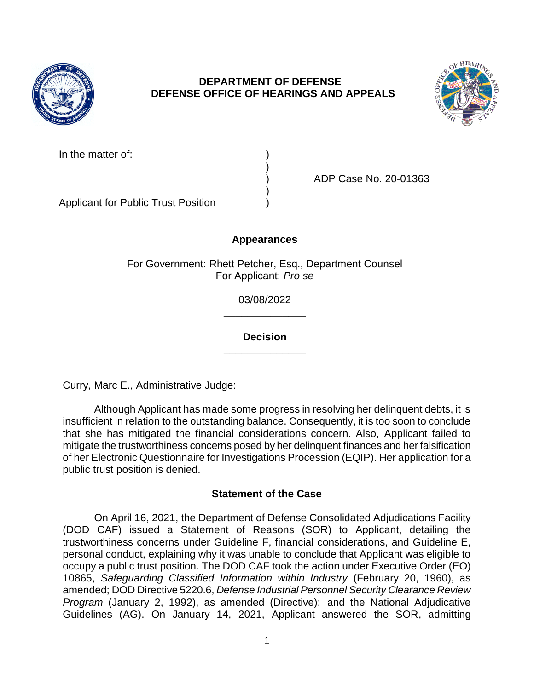

# **DEPARTMENT OF DEFENSE DEFENSE OFFICE OF HEARINGS AND APPEALS**



| In the matter of: |  |
|-------------------|--|
|                   |  |
|                   |  |
|                   |  |

Applicant for Public Trust Position )

) ADP Case No. 20-01363

# **Appearances**

For Government: Rhett Petcher, Esq., Department Counsel For Applicant: *Pro se* 

> **\_\_\_\_\_\_\_\_\_\_\_\_\_\_**  03/08/2022

## **\_\_\_\_\_\_\_\_\_\_\_\_\_\_ Decision**

Curry, Marc E., Administrative Judge:

 Although Applicant has made some progress in resolving her delinquent debts, it is insufficient in relation to the outstanding balance. Consequently, it is too soon to conclude that she has mitigated the financial considerations concern. Also, Applicant failed to mitigate the trustworthiness concerns posed by her delinquent finances and her falsification of her Electronic Questionnaire for Investigations Procession (EQIP). Her application for a public trust position is denied.

## **Statement of the Case**

 (DOD CAF) issued a Statement of Reasons (SOR) to Applicant, detailing the trustworthiness concerns under Guideline F, financial considerations, and Guideline E, personal conduct, explaining why it was unable to conclude that Applicant was eligible to occupy a public trust position. The DOD CAF took the action under Executive Order (EO)  10865, *Safeguarding Classified Information within Industry* (February 20, 1960), as amended; DOD Directive 5220.6, *Defense Industrial Personnel Security Clearance Review*  Guidelines (AG). On January 14, 2021, Applicant answered the SOR, admitting On April 16, 2021, the Department of Defense Consolidated Adjudications Facility *Program* (January 2, 1992), as amended (Directive); and the National Adjudicative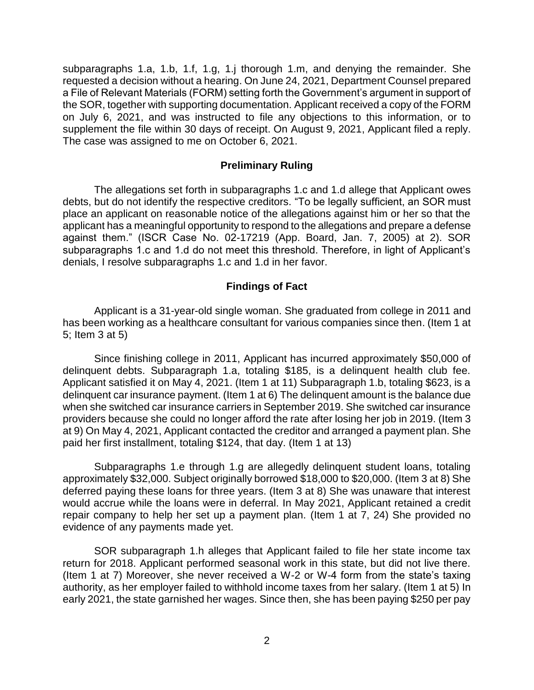subparagraphs 1.a, 1.b, 1.f, 1.g, 1.j thorough 1.m, and denying the remainder. She requested a decision without a hearing. On June 24, 2021, Department Counsel prepared a File of Relevant Materials (FORM) setting forth the Government's argument in support of the SOR, together with supporting documentation. Applicant received a copy of the FORM on July 6, 2021, and was instructed to file any objections to this information, or to supplement the file within 30 days of receipt. On August 9, 2021, Applicant filed a reply. The case was assigned to me on October 6, 2021.

### **Preliminary Ruling**

 place an applicant on reasonable notice of the allegations against him or her so that the applicant has a meaningful opportunity to respond to the allegations and prepare a defense against them." (ISCR Case No. 02-17219 (App. Board, Jan. 7, 2005) at 2). SOR subparagraphs 1.c and 1.d do not meet this threshold. Therefore, in light of Applicant's The allegations set forth in subparagraphs 1.c and 1.d allege that Applicant owes debts, but do not identify the respective creditors. "To be legally sufficient, an SOR must denials, I resolve subparagraphs 1.c and 1.d in her favor.

### **Findings of Fact**

 Applicant is a 31-year-old single woman. She graduated from college in 2011 and has been working as a healthcare consultant for various companies since then. (Item 1 at 5; Item 3 at 5)

 Since finishing college in 2011, Applicant has incurred approximately \$50,000 of delinquent debts. Subparagraph 1.a, totaling \$185, is a delinquent health club fee. Applicant satisfied it on May 4, 2021. (Item 1 at 11) Subparagraph 1.b, totaling \$623, is a delinquent car insurance payment. (Item 1 at 6) The delinquent amount is the balance due when she switched car insurance carriers in September 2019. She switched car insurance providers because she could no longer afford the rate after losing her job in 2019. (Item 3 at 9) On May 4, 2021, Applicant contacted the creditor and arranged a payment plan. She paid her first installment, totaling \$124, that day. (Item 1 at 13)

 Subparagraphs 1.e through 1.g are allegedly delinquent student loans, totaling approximately \$32,000. Subject originally borrowed \$18,000 to \$20,000. (Item 3 at 8) She deferred paying these loans for three years. (Item 3 at 8) She was unaware that interest would accrue while the loans were in deferral. In May 2021, Applicant retained a credit repair company to help her set up a payment plan. (Item 1 at 7, 24) She provided no evidence of any payments made yet.

 SOR subparagraph 1.h alleges that Applicant failed to file her state income tax (Item 1 at 7) Moreover, she never received a W-2 or W-4 form from the state's taxing authority, as her employer failed to withhold income taxes from her salary. (Item 1 at 5) In early 2021, the state garnished her wages. Since then, she has been paying \$250 per pay return for 2018. Applicant performed seasonal work in this state, but did not live there.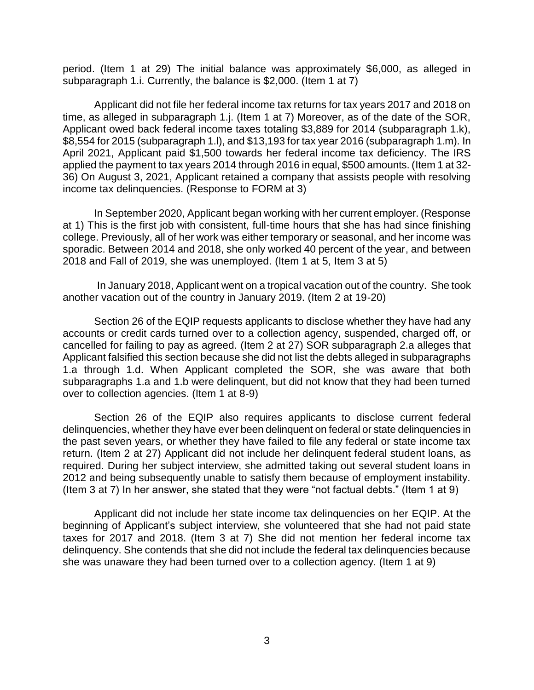period. (Item 1 at 29) The initial balance was approximately \$6,000, as alleged in subparagraph 1.i. Currently, the balance is \$2,000. (Item 1 at 7)

Applicant did not file her federal income tax returns for tax years 2017 and 2018 on time, as alleged in subparagraph 1.j. (Item 1 at 7) Moreover, as of the date of the SOR, Applicant owed back federal income taxes totaling \$3,889 for 2014 (subparagraph 1.k), \$8,554 for 2015 (subparagraph 1.l), and \$13,193 for tax year 2016 (subparagraph 1.m). In April 2021, Applicant paid \$1,500 towards her federal income tax deficiency. The IRS applied the payment to tax years 2014 through 2016 in equal, \$500 amounts. (Item 1 at 32- 36) On August 3, 2021, Applicant retained a company that assists people with resolving income tax delinquencies. (Response to FORM at 3)

 In September 2020, Applicant began working with her current employer. (Response at 1) This is the first job with consistent, full-time hours that she has had since finishing college. Previously, all of her work was either temporary or seasonal, and her income was sporadic. Between 2014 and 2018, she only worked 40 percent of the year, and between 2018 and Fall of 2019, she was unemployed. (Item 1 at 5, Item 3 at 5)

 In January 2018, Applicant went on a tropical vacation out of the country. She took another vacation out of the country in January 2019. (Item 2 at 19-20)

Section 26 of the EQIP requests applicants to disclose whether they have had any accounts or credit cards turned over to a collection agency, suspended, charged off, or cancelled for failing to pay as agreed. (Item 2 at 27) SOR subparagraph 2.a alleges that Applicant falsified this section because she did not list the debts alleged in subparagraphs 1.a through 1.d. When Applicant completed the SOR, she was aware that both subparagraphs 1.a and 1.b were delinquent, but did not know that they had been turned over to collection agencies. (Item 1 at 8-9)

 Section 26 of the EQIP also requires applicants to disclose current federal delinquencies, whether they have ever been delinquent on federal or state delinquencies in the past seven years, or whether they have failed to file any federal or state income tax return. (Item 2 at 27) Applicant did not include her delinquent federal student loans, as required. During her subject interview, she admitted taking out several student loans in 2012 and being subsequently unable to satisfy them because of employment instability. (Item 3 at 7) In her answer, she stated that they were "not factual debts." (Item 1 at 9)

 Applicant did not include her state income tax delinquencies on her EQIP. At the beginning of Applicant's subject interview, she volunteered that she had not paid state taxes for 2017 and 2018. (Item 3 at 7) She did not mention her federal income tax delinquency. She contends that she did not include the federal tax delinquencies because she was unaware they had been turned over to a collection agency. (Item 1 at 9)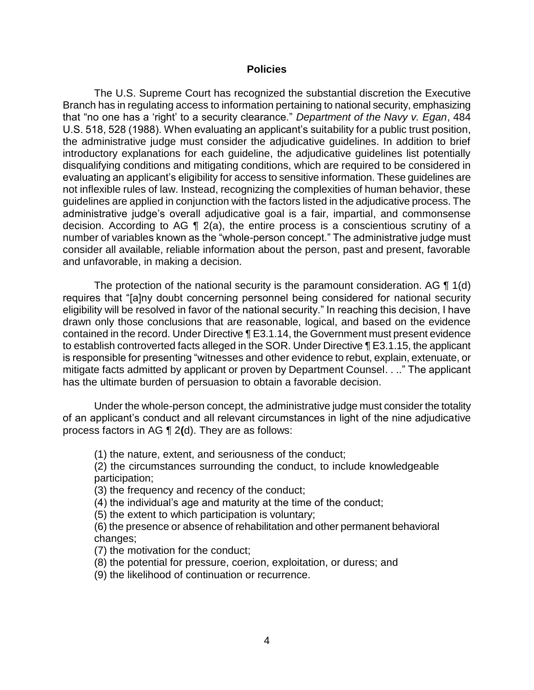#### **Policies**

The U.S. Supreme Court has recognized the substantial discretion the Executive Branch has in regulating access to information pertaining to national security, emphasizing that "no one has a 'right' to a security clearance." *Department of the Navy v. Egan*, 484 U.S. 518, 528 (1988). When evaluating an applicant's suitability for a public trust position, the administrative judge must consider the adjudicative guidelines. In addition to brief introductory explanations for each guideline, the adjudicative guidelines list potentially disqualifying conditions and mitigating conditions, which are required to be considered in evaluating an applicant's eligibility for access to sensitive information. These guidelines are not inflexible rules of law. Instead, recognizing the complexities of human behavior, these guidelines are applied in conjunction with the factors listed in the adjudicative process. The administrative judge's overall adjudicative goal is a fair, impartial, and commonsense decision. According to AG ¶ 2(a), the entire process is a conscientious scrutiny of a number of variables known as the "whole-person concept." The administrative judge must consider all available, reliable information about the person, past and present, favorable and unfavorable, in making a decision.

The protection of the national security is the paramount consideration. AG  $\P$  1(d) eligibility will be resolved in favor of the national security." In reaching this decision, I have drawn only those conclusions that are reasonable, logical, and based on the evidence contained in the record. Under Directive ¶ E3.1.14, the Government must present evidence to establish controverted facts alleged in the SOR. Under Directive ¶ E3.1.15, the applicant is responsible for presenting "witnesses and other evidence to rebut, explain, extenuate, or mitigate facts admitted by applicant or proven by Department Counsel. . .." The applicant requires that "[a]ny doubt concerning personnel being considered for national security has the ultimate burden of persuasion to obtain a favorable decision.

 Under the whole-person concept, the administrative judge must consider the totality of an applicant's conduct and all relevant circumstances in light of the nine adjudicative process factors in AG ¶ 2**(**d). They are as follows:

(1) the nature, extent, and seriousness of the conduct;

 (2) the circumstances surrounding the conduct, to include knowledgeable participation;

(3) the frequency and recency of the conduct;

(4) the individual's age and maturity at the time of the conduct;

(5) the extent to which participation is voluntary;

 (6) the presence or absence of rehabilitation and other permanent behavioral changes;

(7) the motivation for the conduct;

(8) the potential for pressure, coerion, exploitation, or duress; and

(9) the likelihood of continuation or recurrence.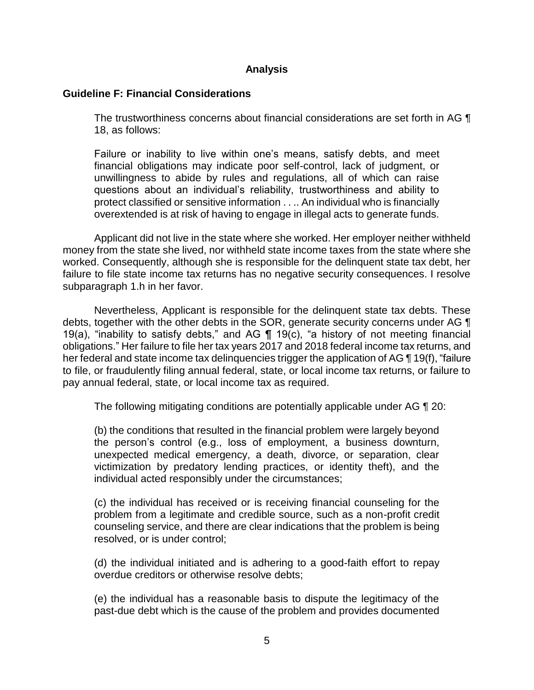## **Analysis**

## **Guideline F: Financial Considerations**

The trustworthiness concerns about financial considerations are set forth in AG ¶ 18, as follows:

Failure or inability to live within one's means, satisfy debts, and meet financial obligations may indicate poor self-control, lack of judgment, or unwillingness to abide by rules and regulations, all of which can raise questions about an individual's reliability, trustworthiness and ability to protect classified or sensitive information . . .. An individual who is financially overextended is at risk of having to engage in illegal acts to generate funds.

 Applicant did not live in the state where she worked. Her employer neither withheld money from the state she lived, nor withheld state income taxes from the state where she failure to file state income tax returns has no negative security consequences. I resolve worked. Consequently, although she is responsible for the delinquent state tax debt, her subparagraph 1.h in her favor.

 Nevertheless, Applicant is responsible for the delinquent state tax debts. These debts, together with the other debts in the SOR, generate security concerns under AG  $\P$ 19(a), "inability to satisfy debts," and AG  $\P$  19(c), "a history of not meeting financial obligations." Her failure to file her tax years 2017 and 2018 federal income tax returns, and her federal and state income tax delinquencies trigger the application of AG ¶ 19(f), "failure to file, or fraudulently filing annual federal, state, or local income tax returns, or failure to pay annual federal, state, or local income tax as required.

The following mitigating conditions are potentially applicable under AG ¶ 20:

 (b) the conditions that resulted in the financial problem were largely beyond the person's control (e.g., loss of employment, a business downturn, victimization by predatory lending practices, or identity theft), and the unexpected medical emergency, a death, divorce, or separation, clear individual acted responsibly under the circumstances;

 (c) the individual has received or is receiving financial counseling for the problem from a legitimate and credible source, such as a non-profit credit counseling service, and there are clear indications that the problem is being resolved, or is under control;

 (d) the individual initiated and is adhering to a good-faith effort to repay overdue creditors or otherwise resolve debts;

 (e) the individual has a reasonable basis to dispute the legitimacy of the past-due debt which is the cause of the problem and provides documented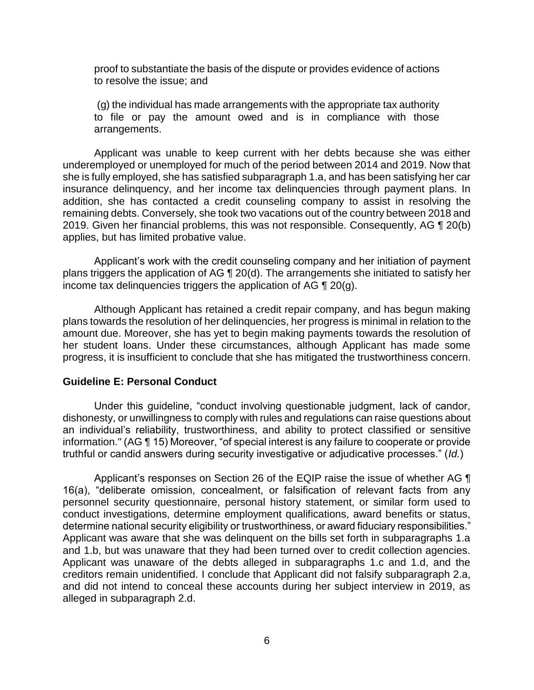proof to substantiate the basis of the dispute or provides evidence of actions to resolve the issue; and

 (g) the individual has made arrangements with the appropriate tax authority to file or pay the amount owed and is in compliance with those arrangements.

 Applicant was unable to keep current with her debts because she was either underemployed or unemployed for much of the period between 2014 and 2019. Now that she is fully employed, she has satisfied subparagraph 1.a, and has been satisfying her car insurance delinquency, and her income tax delinquencies through payment plans. In addition, she has contacted a credit counseling company to assist in resolving the remaining debts. Conversely, she took two vacations out of the country between 2018 and 2019. Given her financial problems, this was not responsible. Consequently, AG ¶ 20(b) applies, but has limited probative value.

 Applicant's work with the credit counseling company and her initiation of payment plans triggers the application of AG ¶ 20(d). The arrangements she initiated to satisfy her income tax delinquencies triggers the application of AG  $\P$  20(g).

 Although Applicant has retained a credit repair company, and has begun making plans towards the resolution of her delinquencies, her progress is minimal in relation to the her student loans. Under these circumstances, although Applicant has made some progress, it is insufficient to conclude that she has mitigated the trustworthiness concern. amount due. Moreover, she has yet to begin making payments towards the resolution of

#### **Guideline E: Personal Conduct**

 Under this guideline, "conduct involving questionable judgment, lack of candor, dishonesty, or unwillingness to comply with rules and regulations can raise questions about an individual's reliability, trustworthiness, and ability to protect classified or sensitive information." (AG ¶ 15) Moreover, "of special interest is any failure to cooperate or provide truthful or candid answers during security investigative or adjudicative processes." (*Id.*)

Applicant's responses on Section 26 of the EQIP raise the issue of whether AG  $\P$  16(a), "deliberate omission, concealment, or falsification of relevant facts from any personnel security questionnaire, personal history statement, or similar form used to determine national security eligibility or trustworthiness, or award fiduciary responsibilities." Applicant was aware that she was delinquent on the bills set forth in subparagraphs 1.a and 1.b, but was unaware that they had been turned over to credit collection agencies. Applicant was unaware of the debts alleged in subparagraphs 1.c and 1.d, and the and did not intend to conceal these accounts during her subject interview in 2019, as conduct investigations, determine employment qualifications, award benefits or status, creditors remain unidentified. I conclude that Applicant did not falsify subparagraph 2.a, alleged in subparagraph 2.d.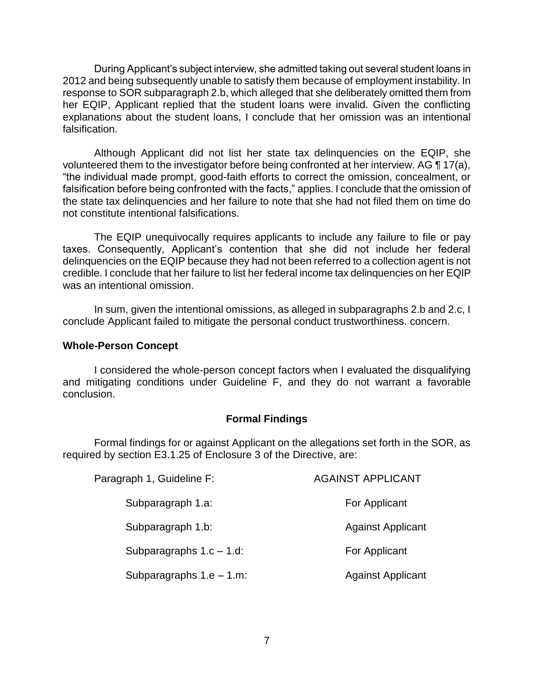During Applicant's subject interview, she admitted taking out several student loans in 2012 and being subsequently unable to satisfy them because of employment instability. In response to SOR subparagraph 2.b, which alleged that she deliberately omitted them from her EQIP, Applicant replied that the student loans were invalid. Given the conflicting explanations about the student loans, I conclude that her omission was an intentional falsification.

 Although Applicant did not list her state tax delinquencies on the EQIP, she volunteered them to the investigator before being confronted at her interview. AG  $\P$  17(a), "the individual made prompt, good-faith efforts to correct the omission, concealment, or falsification before being confronted with the facts," applies. I conclude that the omission of the state tax delinquencies and her failure to note that she had not filed them on time do not constitute intentional falsifications.

The EQIP unequivocally requires applicants to include any failure to file or pay taxes. Consequently, Applicant's contention that she did not include her federal delinquencies on the EQIP because they had not been referred to a collection agent is not credible. I conclude that her failure to list her federal income tax delinquencies on her EQIP was an intentional omission.

 In sum, given the intentional omissions, as alleged in subparagraphs 2.b and 2.c, I conclude Applicant failed to mitigate the personal conduct trustworthiness. concern.

#### **Whole-Person Concept**

 I considered the whole-person concept factors when I evaluated the disqualifying and mitigating conditions under Guideline F, and they do not warrant a favorable conclusion.

#### **Formal Findings**

 Formal findings for or against Applicant on the allegations set forth in the SOR, as required by section E3.1.25 of Enclosure 3 of the Directive, are:

| Paragraph 1, Guideline F:   | <b>AGAINST APPLICANT</b> |
|-----------------------------|--------------------------|
| Subparagraph 1.a:           | For Applicant            |
| Subparagraph 1.b:           | <b>Against Applicant</b> |
| Subparagraphs $1.c - 1.d$ : | For Applicant            |
| Subparagraphs $1.e - 1.m$ : | <b>Against Applicant</b> |